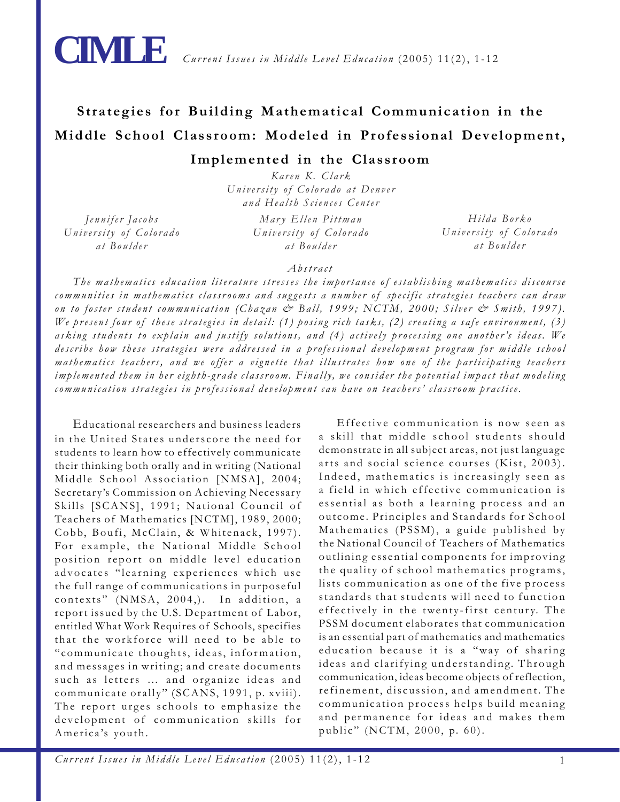

# **Strategies for Building Mathematical Communication in the Middle School Classroom: Modeled in Professional Development,**

## **Implemented in the Classroom**

*Karen K. Clark University of Colorado at Denver and Health Sciences Center*

*Jennifer Jacobs University of Colorado at Boulder*

*Mary Ellen Pittman University of Colorado at Boulder*

*Hilda Borko University of Colorado at Boulder*

## *Abstract*

*The mathematics education literature stresses the importance of establishing mathematics discourse communities in mathematics classrooms and suggests a number of specific strategies teachers can draw on to foster student communication (Chazan & Ball, 1999; NCTM, 2000; Silver & Smith, 1997). We present four of these strategies in detail: (1) posing rich tasks, (2) creating a safe environment, (3) asking students to explain and justify solutions, and (4) actively processing one another's ideas. We describe how these strategies were addressed in a professional development program for middle school mathematics teachers, and we offer a vignette that illustrates how one of the participating teachers implemented them in her eighth-grade classroom. Finally, we consider the potential impact that modeling communication strategies in professional development can have on teachers' classroom practice.*

Educational researchers and business leaders in the United States underscore the need for students to learn how to effectively communicate their thinking both orally and in writing (National Middle School Association [NMSA], 2004; Secretary's Commission on Achieving Necessary Skills [SCANS], 1991; National Council of Teachers of Mathematics [NCTM], 1989, 2000; Cobb, Boufi, McClain, & Whitenack, 1997). For example, the National Middle School position report on middle level education advocates "learning experiences which use the full range of communications in purposeful contexts" (NMSA, 2004,). In addition, a report issued by the U.S. Department of Labor, entitled What Work Requires of Schools, specifies that the workforce will need to be able to "communicate thoughts, ideas, information, and messages in writing; and create documents such as letters … and organize ideas and communicate orally" (SCANS, 1991, p. xviii). The report urges schools to emphasize the development of communication skills for America's youth.

Effective communication is now seen as a skill that middle school students should demonstrate in all subject areas, not just language arts and social science courses (Kist, 2003). Indeed, mathematics is increasingly seen as a field in which effective communication is essential as both a learning process and an outcome. Principles and Standards for School Mathematics (PSSM), a guide published by the National Council of Teachers of Mathematics outlining essential components for improving the quality of school mathematics programs, lists communication as one of the five process standards that students will need to function effectively in the twenty-first century. The PSSM document elaborates that communication is an essential part of mathematics and mathematics education because it is a "way of sharing ideas and clarifying understanding. Through communication, ideas become objects of reflection, refinement, discussion, and amendment. The communication process helps build meaning and permanence for ideas and makes them public" (NCTM, 2000, p. 60).

*Current Issues in Middle Level Education* (2005) 11(2), 1-12 1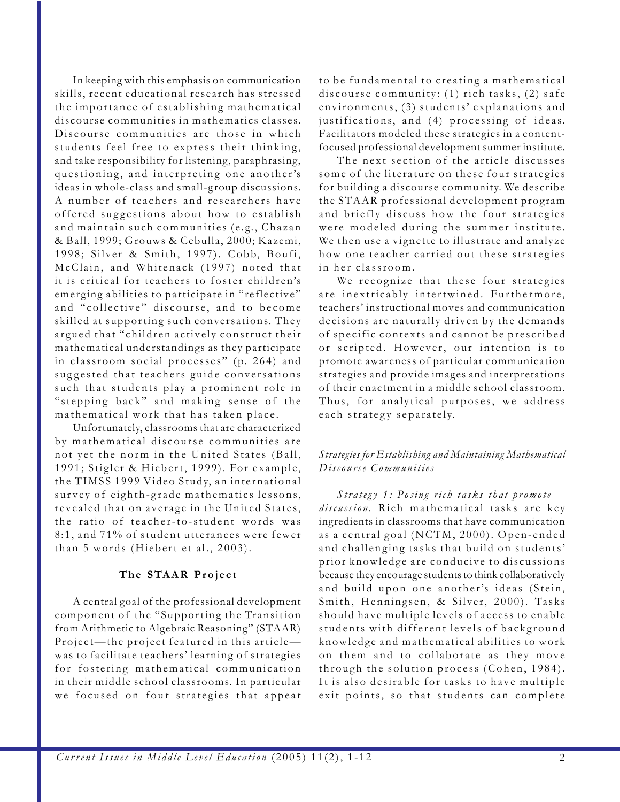In keeping with this emphasis on communication skills, recent educational research has stressed the importance of establishing mathematical discourse communities in mathematics classes. Discourse communities are those in which students feel free to express their thinking, and take responsibility for listening, paraphrasing, questioning, and interpreting one another's ideas in whole-class and small-group discussions. A number of teachers and researchers have offered suggestions about how to establish and maintain such communities (e.g., Chazan & Ball, 1999; Grouws & Cebulla, 2000; Kazemi, 1998; Silver & Smith, 1997). Cobb, Boufi, McClain, and Whitenack (1997) noted that it is critical for teachers to foster children's emerging abilities to participate in "reflective" and "collective" discourse, and to become skilled at supporting such conversations. They argued that "children actively construct their mathematical understandings as they participate in classroom social processes" (p. 264) and suggested that teachers guide conversations such that students play a prominent role in "stepping back" and making sense of the mathematical work that has taken place.

Unfortunately, classrooms that are characterized by mathematical discourse communities are not yet the norm in the United States (Ball, 1991; Stigler & Hiebert, 1999). For example, the TIMSS 1999 Video Study, an international survey of eighth-grade mathematics lessons, revealed that on average in the United States, the ratio of teacher-to-student words was 8:1, and 71% of student utterances were fewer than 5 words (Hiebert et al., 2003).

#### **The STAAR Project**

A central goal of the professional development component of the "Supporting the Transition from Arithmetic to Algebraic Reasoning" (STAAR) Project—the project featured in this article was to facilitate teachers' learning of strategies for fostering mathematical communication in their middle school classrooms. In particular we focused on four strategies that appear

to be fundamental to creating a mathematical discourse community: (1) rich tasks, (2) safe environments, (3) students' explanations and justifications, and (4) processing of ideas. Facilitators modeled these strategies in a contentfocused professional development summer institute.

The next section of the article discusses some of the literature on these four strategies for building a discourse community. We describe the STAAR professional development program and briefly discuss how the four strategies were modeled during the summer institute. We then use a vignette to illustrate and analyze how one teacher carried out these strategies in her classroom.

We recognize that these four strategies are inextricably intertwined. Furthermore, teachers' instructional moves and communication decisions are naturally driven by the demands of specific contexts and cannot be prescribed or scripted. However, our intention is to promote awareness of particular communication strategies and provide images and interpretations of their enactment in a middle school classroom. Thus, for analytical purposes, we address each strategy separately.

#### *Strategies for Establishing and Maintaining Mathematical Discourse Communities*

*Strategy 1: Posing rich tasks that promote discussion.* Rich mathematical tasks are key ingredients in classrooms that have communication as a central goal (NCTM, 2000). Open-ended and challenging tasks that build on students' prior knowledge are conducive to discussions because they encourage students to think collaboratively and build upon one another's ideas (Stein, Smith, Henningsen, & Silver, 2000). Tasks should have multiple levels of access to enable students with different levels of background knowledge and mathematical abilities to work on them and to collaborate as they move through the solution process (Cohen, 1984). It is also desirable for tasks to have multiple exit points, so that students can complete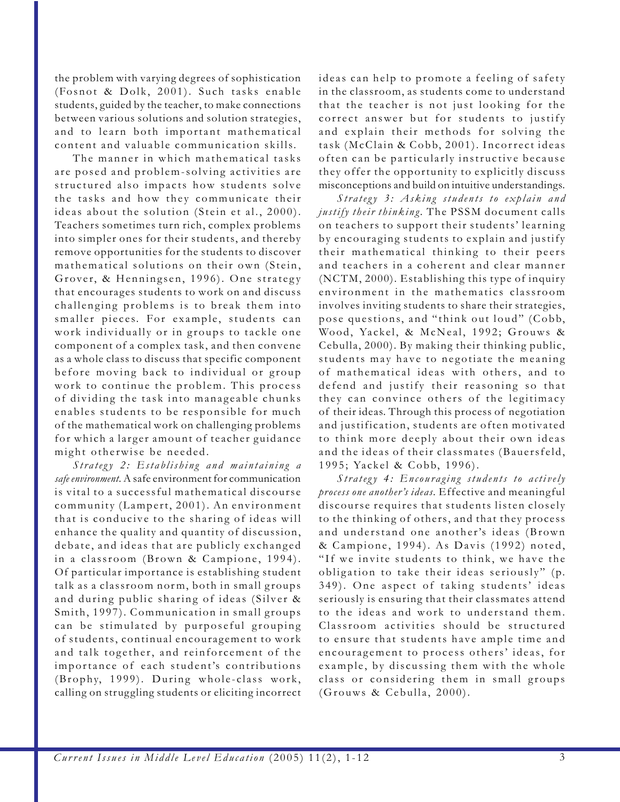the problem with varying degrees of sophistication (Fosnot & Dolk, 2001). Such tasks enable students, guided by the teacher, to make connections between various solutions and solution strategies, and to learn both important mathematical content and valuable communication skills.

The manner in which mathematical tasks are posed and problem-solving activities are structured also impacts how students solve the tasks and how they communicate their ideas about the solution (Stein et al., 2000). Teachers sometimes turn rich, complex problems into simpler ones for their students, and thereby remove opportunities for the students to discover mathematical solutions on their own (Stein, Grover, & Henningsen, 1996). One strategy that encourages students to work on and discuss challenging problems is to break them into smaller pieces. For example, students can work individually or in groups to tackle one component of a complex task, and then convene as a whole class to discuss that specific component before moving back to individual or group work to continue the problem. This process of dividing the task into manageable chunks enables students to be responsible for much of the mathematical work on challenging problems for which a larger amount of teacher guidance might otherwise be needed.

*Strategy 2: Establishing and maintaining a safe environment.* A safe environment for communication is vital to a successful mathematical discourse community (Lampert, 2001). An environment that is conducive to the sharing of ideas will enhance the quality and quantity of discussion, debate, and ideas that are publicly exchanged in a classroom (Brown & Campione, 1994). Of particular importance is establishing student talk as a classroom norm, both in small groups and during public sharing of ideas (Silver & Smith, 1997). Communication in small groups can be stimulated by purposeful grouping of students, continual encouragement to work and talk together, and reinforcement of the importance of each student's contributions (Brophy, 1999). During whole-class work, calling on struggling students or eliciting incorrect

ideas can help to promote a feeling of safety in the classroom, as students come to understand that the teacher is not just looking for the correct answer but for students to justify and explain their methods for solving the task (McClain & Cobb, 2001). Incorrect ideas often can be particularly instructive because they offer the opportunity to explicitly discuss misconceptions and build on intuitive understandings.

*Strategy 3: Asking students to explain and justify their thinking.* The PSSM document calls on teachers to support their students' learning by encouraging students to explain and justify their mathematical thinking to their peers and teachers in a coherent and clear manner (NCTM, 2000). Establishing this type of inquiry environment in the mathematics classroom involves inviting students to share their strategies, pose questions, and "think out loud" (Cobb, Wood, Yackel, & McNeal, 1992; Grouws & Cebulla, 2000). By making their thinking public, students may have to negotiate the meaning of mathematical ideas with others, and to defend and justify their reasoning so that they can convince others of the legitimacy of their ideas. Through this process of negotiation and justification, students are often motivated to think more deeply about their own ideas and the ideas of their classmates (Bauersfeld, 1995; Yackel & Cobb, 1996).

*Strategy 4: Encouraging students to actively process one another's ideas.* Effective and meaningful discourse requires that students listen closely to the thinking of others, and that they process and understand one another's ideas (Brown & Campione, 1994). As Davis (1992) noted, "If we invite students to think, we have the obligation to take their ideas seriously" (p. 349). One aspect of taking students' ideas seriously is ensuring that their classmates attend to the ideas and work to understand them. Classroom activities should be structured to ensure that students have ample time and encouragement to process others' ideas, for example, by discussing them with the whole class or considering them in small groups (Grouws & Cebulla, 2000).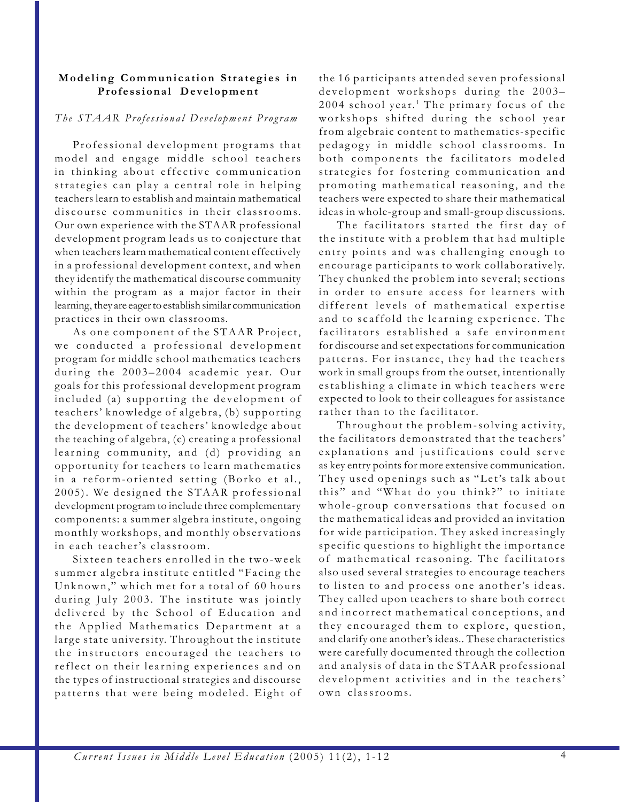#### **Modeling Communication Strategies in Professional Development**

#### *The STAAR Professional Development Program*

Professional development programs that model and engage middle school teachers in thinking about effective communication strategies can play a central role in helping teachers learn to establish and maintain mathematical discourse communities in their classrooms. Our own experience with the STAAR professional development program leads us to conjecture that when teachers learn mathematical content effectively in a professional development context, and when they identify the mathematical discourse community within the program as a major factor in their learning, they are eager to establish similar communication practices in their own classrooms.

As one component of the STAAR Project, we conducted a professional development program for middle school mathematics teachers during the 2003–2004 academic year. Our goals for this professional development program included (a) supporting the development of teachers' knowledge of algebra, (b) supporting the development of teachers' knowledge about the teaching of algebra, (c) creating a professional learning community, and (d) providing an opportunity for teachers to learn mathematics in a reform-oriented setting (Borko et al., 2005). We designed the STAAR professional development program to include three complementary components: a summer algebra institute, ongoing monthly workshops, and monthly observations in each teacher's classroom.

Sixteen teachers enrolled in the two-week summer algebra institute entitled "Facing the Unknown," which met for a total of 60 hours during July 2003. The institute was jointly delivered by the School of Education and the Applied Mathematics Department at a large state university. Throughout the institute the instructors encouraged the teachers to reflect on their learning experiences and on the types of instructional strategies and discourse patterns that were being modeled. Eight of the 16 participants attended seven professional development workshops during the 2003–  $2004$  school year.<sup>1</sup> The primary focus of the workshops shifted during the school year from algebraic content to mathematics-specific pedagogy in middle school classrooms. In both components the facilitators modeled strategies for fostering communication and promoting mathematical reasoning, and the teachers were expected to share their mathematical ideas in whole-group and small-group discussions.

The facilitators started the first day of the institute with a problem that had multiple entry points and was challenging enough to encourage participants to work collaboratively. They chunked the problem into several; sections in order to ensure access for learners with different levels of mathematical expertise and to scaffold the learning experience. The facilitators established a safe environment for discourse and set expectations for communication patterns. For instance, they had the teachers work in small groups from the outset, intentionally establishing a climate in which teachers were expected to look to their colleagues for assistance rather than to the facilitator.

Throughout the problem-solving activity, the facilitators demonstrated that the teachers' explanations and justifications could serve as key entry points for more extensive communication. They used openings such as "Let's talk about this" and "What do you think?" to initiate whole-group conversations that focused on the mathematical ideas and provided an invitation for wide participation. They asked increasingly specific questions to highlight the importance of mathematical reasoning. The facilitators also used several strategies to encourage teachers to listen to and process one another's ideas. They called upon teachers to share both correct and incorrect mathematical conceptions, and they encouraged them to explore, question, and clarify one another's ideas.. These characteristics were carefully documented through the collection and analysis of data in the STAAR professional development activities and in the teachers' own classrooms.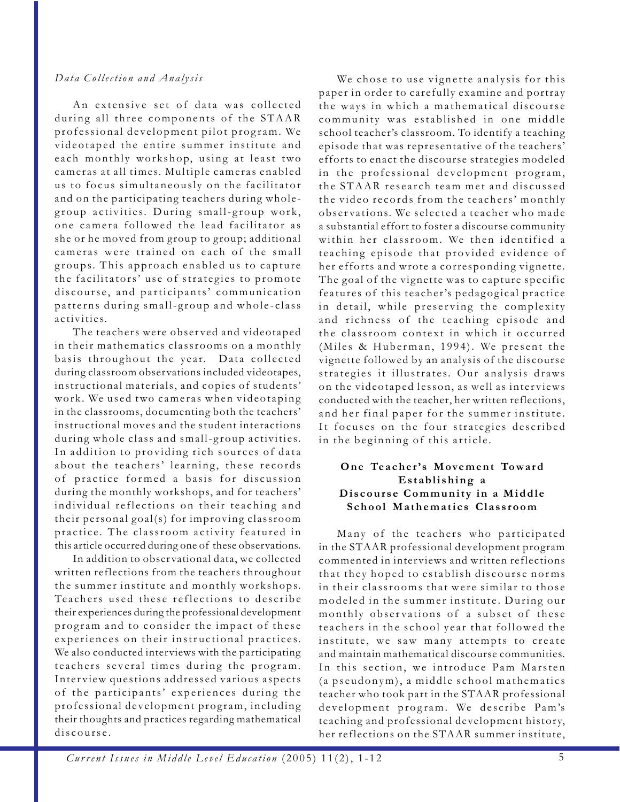## *Data Collection and Analysis*

An extensive set of data was collected during all three components of the STAAR professional development pilot program. We videotaped the entire summer institute and each monthly workshop, using at least two cameras at all times. Multiple cameras enabled us to focus simultaneously on the facilitator and on the participating teachers during wholegroup activities. During small-group work, one camera followed the lead facilitator as she or he moved from group to group; additional cameras were trained on each of the small groups. This approach enabled us to capture the facilitators' use of strategies to promote discourse, and participants' communication patterns during small-group and whole-class activities.

The teachers were observed and videotaped in their mathematics classrooms on a monthly basis throughout the year. Data collected during classroom observations included videotapes, instructional materials, and copies of students' work. We used two cameras when videotaping in the classrooms, documenting both the teachers' instructional moves and the student interactions during whole class and small-group activities. In addition to providing rich sources of data about the teachers' learning, these records of practice formed a basis for discussion during the monthly workshops, and for teachers' individual reflections on their teaching and their personal goal(s) for improving classroom practice. The classroom activity featured in this article occurred during one of these observations.

In addition to observational data, we collected written reflections from the teachers throughout the summer institute and monthly workshops. Teachers used these reflections to describe their experiences during the professional development program and to consider the impact of these experiences on their instructional practices. We also conducted interviews with the participating teachers several times during the program. Interview questions addressed various aspects of the participants' experiences during the professional development program, including their thoughts and practices regarding mathematical discourse.

We chose to use vignette analysis for this paper in order to carefully examine and portray the ways in which a mathematical discourse community was established in one middle school teacher's classroom. To identify a teaching episode that was representative of the teachers' efforts to enact the discourse strategies modeled in the professional development program, the STAAR research team met and discussed the video records from the teachers' monthly observations. We selected a teacher who made a substantial effort to foster a discourse community within her classroom. We then identified a teaching episode that provided evidence of her efforts and wrote a corresponding vignette. The goal of the vignette was to capture specific features of this teacher's pedagogical practice in detail, while preserving the complexity and richness of the teaching episode and the classroom context in which it occurred (Miles & Huberman, 1994). We present the vignette followed by an analysis of the discourse strategies it illustrates. Our analysis draws on the videotaped lesson, as well as interviews conducted with the teacher, her written reflections, and her final paper for the summer institute. It focuses on the four strategies described in the beginning of this article.

## **One Teacher's Movement Toward Establishing a Discourse Community in a Middle School Mathematics Classroom**

Many of the teachers who participated in the STAAR professional development program commented in interviews and written reflections that they hoped to establish discourse norms in their classrooms that were similar to those modeled in the summer institute. During our monthly observations of a subset of these teachers in the school year that followed the institute, we saw many attempts to create and maintain mathematical discourse communities. In this section, we introduce Pam Marsten (a pseudonym), a middle school mathematics teacher who took part in the STAAR professional development program. We describe Pam's teaching and professional development history, her reflections on the STAAR summer institute,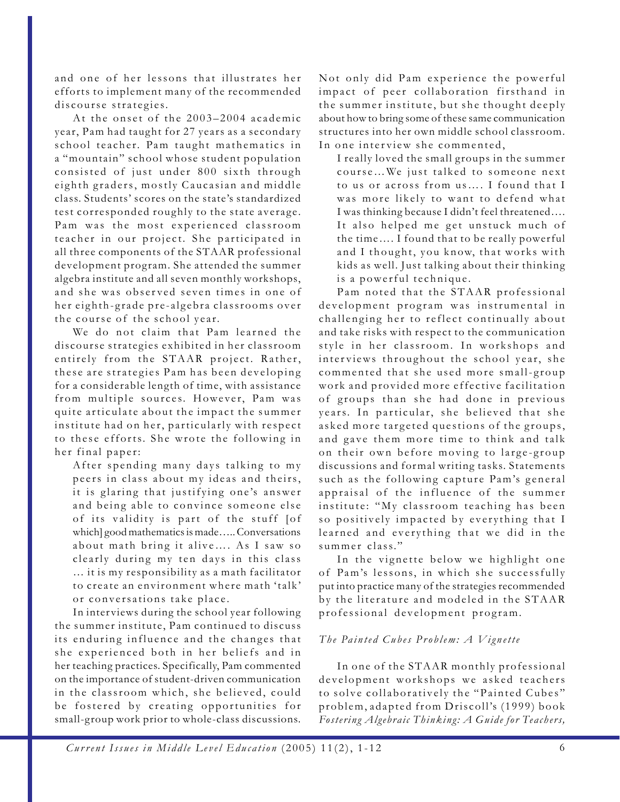and one of her lessons that illustrates her efforts to implement many of the recommended discourse strategies.

At the onset of the 2003–2004 academic year, Pam had taught for 27 years as a secondary school teacher. Pam taught mathematics in a "mountain" school whose student population consisted of just under 800 sixth through eighth graders, mostly Caucasian and middle class. Students' scores on the state's standardized test corresponded roughly to the state average. Pam was the most experienced classroom teacher in our project. She participated in all three components of the STAAR professional development program. She attended the summer algebra institute and all seven monthly workshops, and she was observed seven times in one of her eighth-grade pre-algebra classrooms over the course of the school year.

We do not claim that Pam learned the discourse strategies exhibited in her classroom entirely from the STAAR project. Rather, these are strategies Pam has been developing for a considerable length of time, with assistance from multiple sources. However, Pam was quite articulate about the impact the summer institute had on her, particularly with respect to these efforts. She wrote the following in her final paper:

After spending many days talking to my peers in class about my ideas and theirs, it is glaring that justifying one's answer and being able to convince someone else of its validity is part of the stuff [of which] good mathematics is made….. Conversations about math bring it alive…. As I saw so clearly during my ten days in this class … it is my responsibility as a math facilitator to create an environment where math 'talk' or conversations take place.

In interviews during the school year following the summer institute, Pam continued to discuss its enduring influence and the changes that she experienced both in her beliefs and in her teaching practices. Specifically, Pam commented on the importance of student-driven communication in the classroom which, she believed, could be fostered by creating opportunities for small-group work prior to whole-class discussions.

Not only did Pam experience the powerful impact of peer collaboration firsthand in the summer institute, but she thought deeply about how to bring some of these same communication structures into her own middle school classroom. In one interview she commented,

I really loved the small groups in the summer course…We just talked to someone next to us or across from us…. I found that I was more likely to want to defend what I was thinking because I didn't feel threatened…. It also helped me get unstuck much of the time…. I found that to be really powerful and I thought, you know, that works with kids as well. Just talking about their thinking is a powerful technique.

Pam noted that the STAAR professional development program was instrumental in challenging her to reflect continually about and take risks with respect to the communication style in her classroom. In workshops and interviews throughout the school year, she commented that she used more small-group work and provided more effective facilitation of groups than she had done in previous years. In particular, she believed that she asked more targeted questions of the groups, and gave them more time to think and talk on their own before moving to large-group discussions and formal writing tasks. Statements such as the following capture Pam's general appraisal of the influence of the summer institute: "My classroom teaching has been so positively impacted by everything that I learned and everything that we did in the summer class."

In the vignette below we highlight one of Pam's lessons, in which she successfully put into practice many of the strategies recommended by the literature and modeled in the STAAR professional development program.

## *The Painted Cubes Problem: A Vignette*

In one of the STAAR monthly professional development workshops we asked teachers to solve collaboratively the "Painted Cubes" problem, adapted from Driscoll's (1999) book *Fostering Algebraic Thinking: A Guide for Teachers,*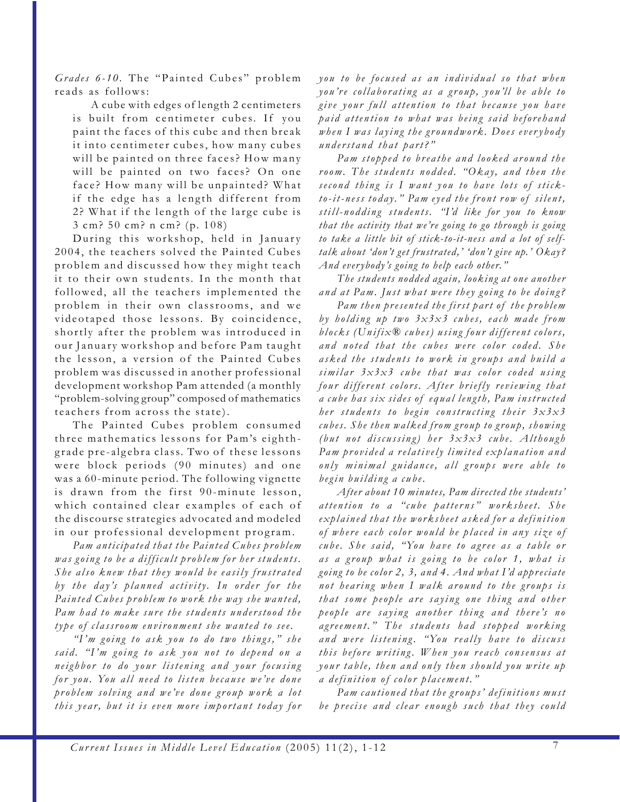*Grades 6-10.* The "Painted Cubes" problem reads as follows:

A cube with edges of length 2 centimeters is built from centimeter cubes. If you paint the faces of this cube and then break it into centimeter cubes, how many cubes will be painted on three faces? How many will be painted on two faces? On one face? How many will be unpainted? What if the edge has a length different from 2? What if the length of the large cube is 3 cm? 50 cm? n cm? (p. 108)

During this workshop, held in January 2004, the teachers solved the Painted Cubes problem and discussed how they might teach it to their own students. In the month that followed, all the teachers implemented the problem in their own classrooms, and we videotaped those lessons. By coincidence, shortly after the problem was introduced in our January workshop and before Pam taught the lesson, a version of the Painted Cubes problem was discussed in another professional development workshop Pam attended (a monthly "problem-solving group" composed of mathematics teachers from across the state).

The Painted Cubes problem consumed three mathematics lessons for Pam's eighthgrade pre-algebra class. Two of these lessons were block periods (90 minutes) and one was a 60-minute period. The following vignette is drawn from the first 90-minute lesson, which contained clear examples of each of the discourse strategies advocated and modeled in our professional development program.

*Pam anticipated that the Painted Cubes problem was going to be a difficult problem for her students. She also knew that they would be easily frustrated by the day's planned activity. In order for the Painted Cubes problem to work the way she wanted, Pam had to make sure the students understood the type of classroom environment she wanted to see.*

*"I'm going to ask you to do two things," she said. "I'm going to ask you not to depend on a neighbor to do your listening and your focusing for you. You all need to listen because w e've done problem solving and we've done group work a lot this year, but it is even more important today for*

*you to be focused as an individual so that when you're collaborating as a group, you'll be able to give your full attention to that because you have paid attention to what was being said beforehand when I was laying the groundwork. Does everybody understand that part?"*

*Pam stopped to breathe and looked around the room. The students nodded. "Okay, and then the second thing is I want you to have lots of stickto-it-ness today." Pam eyed the front row of silent, still-nodding students. "I'd like for you to know that the activity that we're going to go through is going to take a little bit of stick-to-it-ness and a lot of selftalk about 'don't get frustrated,' 'don't give up.' Okay? And ever ybody's going to help each other."*

*The students nodded again, looking at one another and at Pam. Just what were they going to be doing?*

*Pam then presented the first part of the problem by holding up two 3x3x3 cubes, each made from blocks (Unifix® cubes) using four different colors, and noted that the cubes were color coded. She asked the students to work in groups and build a similar 3x3x3 cube that was color coded using four different colors. After briefly reviewing that a cube has six sides of equal length, Pam instructed her students to begin constructing their 3x3x3 cubes. She then walked from group to group, showing (but not discussing) her 3x3x3 cube. Although Pam provided a relatively limited explanation and only minimal guidance, all groups were able to begin building a cube.*

*After about 10 minutes, Pam directed the students' attention to a "cube patterns" worksheet. She explained that the worksheet asked for a definition of where each color would be placed in any size of* cube. She said, "You have to agree as a table or *as a group what is going to be color 1, what is going to be color 2, 3, and 4. And what I'd appreciate not hearing when I walk around to the groups is that some people are saying one thing and other people are saying another thing and there's no agreement." The students had stopped working* and were listening. "You really have to discuss *this before writing. When you reach consensus at your table, then and only then should you write up a definition of color placement."*

*Pam cautioned that the groups' definitions must be precise and clear enough such that they could*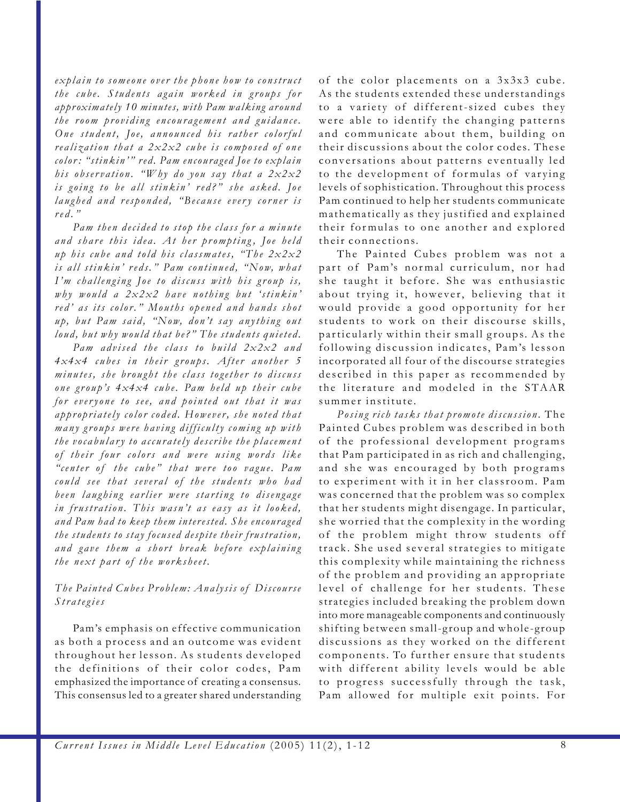*explain to someone over the phone how to construct the cube. Students again worked in groups for approximately 10 minutes, with Pam walking around the room providing encouragement and guidance. One student, Joe, announced his rather colorful realization that a 2x2x2 cube is composed of one color : "stinkin'" red. Pam encouraged Joe to explain his observation. "Why do you say that a 2x2x2 is going to be all stinkin' red?" she asked. Joe laughed and responded, "Because every corner is red."*

*Pam then decided to stop the class for a minute and share this idea. At her prompting, Joe held up his cube and told his classmates, "The 2x2x2 is all stinkin' reds." Pam continued, "Now, what I'm challenging Joe to discuss with his group is, why would a 2x2x2 have nothing but 'stinkin' red' as its color." Mouths opened and hands shot up, but Pam said, "Now, don't say anything out loud, but why would that be?" The students quieted.*

*Pam advised the class to build 2x2x2 and 4x4x4 cubes in their groups. After another 5 minutes, she brought the class together to discuss one group's 4x4x4 cube. Pam held up their cube for everyone to see, and pointed out that it was appropriately color coded. However, she noted that many groups were having difficulty coming up with the vocabulary to accurately describe the placement of their four colors and were using words like "center of the cube" that were too vague. Pam could see that several of the students who had been laughing earlier were starting to disengage in frustration. This wasn't as easy as it looked, and Pam had to keep them interested. She encouraged the students to stay focused despite their frustration, and gave them a short break before explaining the next part of the worksheet.*

## *The Painted Cubes Problem: Analysis of Discourse Strategies*

Pam's emphasis on effective communication as both a process and an outcome was evident throughout her lesson. As students developed the definitions of their color codes, Pam emphasized the importance of creating a consensus. This consensus led to a greater shared understanding of the color placements on a 3x3x3 cube. As the students extended these understandings to a variety of different-sized cubes they were able to identify the changing patterns and communicate about them, building on their discussions about the color codes. These conversations about patterns eventually led to the development of formulas of varying levels of sophistication. Throughout this process Pam continued to help her students communicate mathematically as they justified and explained their formulas to one another and explored their connections.

The Painted Cubes problem was not a part of Pam's normal curriculum, nor had she taught it before. She was enthusiastic about trying it, however, believing that it would provide a good opportunity for her students to work on their discourse skills, particularly within their small groups. As the following discussion indicates, Pam's lesson incorporated all four of the discourse strategies described in this paper as recommended by the literature and modeled in the STAAR summer institute.

*Posing rich tasks that promote discussion.* The Painted Cubes problem was described in both of the professional development programs that Pam participated in as rich and challenging, and she was encouraged by both programs to experiment with it in her classroom. Pam was concerned that the problem was so complex that her students might disengage. In particular, she worried that the complexity in the wording of the problem might throw students off track. She used several strategies to mitigate this complexity while maintaining the richness of the problem and providing an appropriate level of challenge for her students. These strategies included breaking the problem down into more manageable components and continuously shifting between small-group and whole-group discussions as they worked on the different components. To further ensure that students with different ability levels would be able to progress successfully through the task, Pam allowed for multiple exit points. For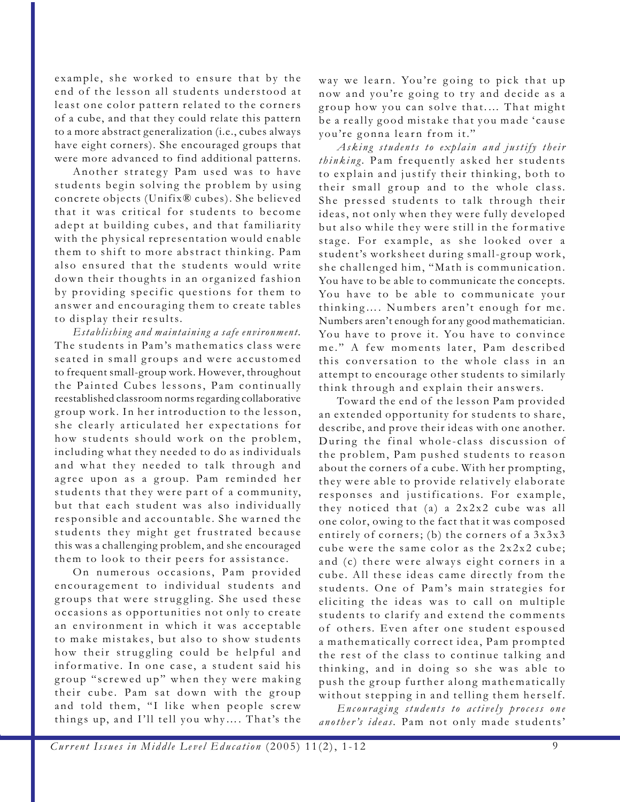example, she worked to ensure that by the end of the lesson all students understood at least one color pattern related to the corners of a cube, and that they could relate this pattern to a more abstract generalization (i.e., cubes always have eight corners). She encouraged groups that were more advanced to find additional patterns.

Another strategy Pam used was to have students begin solving the problem by using concrete objects (Unifix® cubes). She believed that it was critical for students to become adept at building cubes, and that familiarity with the physical representation would enable them to shift to more abstract thinking. Pam also ensured that the students would write down their thoughts in an organized fashion by providing specific questions for them to answer and encouraging them to create tables to display their results.

*Establishing and maintaining a safe environment.* The students in Pam's mathematics class were seated in small groups and were accustomed to frequent small-group work. However, throughout the Painted Cubes lessons, Pam continually reestablished classroom norms regarding collaborative group work. In her introduction to the lesson, she clearly articulated her expectations for how students should work on the problem, including what they needed to do as individuals and what they needed to talk through and agree upon as a group. Pam reminded her students that they were part of a community, but that each student was also individually responsible and accountable. She warned the students they might get frustrated because this was a challenging problem, and she encouraged them to look to their peers for assistance.

On numerous occasions, Pam provided encouragement to individual students and groups that were struggling. She used these occasions as opportunities not only to create an environment in which it was acceptable to make mistakes, but also to show students how their struggling could be helpful and informative. In one case, a student said his group "screwed up" when they were making their cube. Pam sat down with the group and told them, "I like when people screw things up, and I'll tell you why…. That's the

way we learn. You're going to pick that up now and you're going to try and decide as a group how you can solve that.… That might be a really good mistake that you made 'cause you're gonna learn from it."

*Asking students to explain and justify their thinking.* Pam frequently asked her students to explain and justify their thinking, both to their small group and to the whole class. She pressed students to talk through their ideas, not only when they were fully developed but also while they were still in the formative stage. For example, as she looked over a student's worksheet during small-group work, she challenged him, "Math is communication. You have to be able to communicate the concepts. You have to be able to communicate your thinking…. Numbers aren't enough for me. Numbers aren't enough for any good mathematician. You have to prove it. You have to convince me." A few moments later, Pam described this conversation to the whole class in an attempt to encourage other students to similarly think through and explain their answers.

Toward the end of the lesson Pam provided an extended opportunity for students to share, describe, and prove their ideas with one another. During the final whole-class discussion of the problem, Pam pushed students to reason about the corners of a cube. With her prompting, they were able to provide relatively elaborate responses and justifications. For example, they noticed that (a) a 2x2x2 cube was all one color, owing to the fact that it was composed entirely of corners; (b) the corners of a 3x3x3 cube were the same color as the 2x2x2 cube; and (c) there were always eight corners in a cube. All these ideas came directly from the students. One of Pam's main strategies for eliciting the ideas was to call on multiple students to clarify and extend the comments of others. Even after one student espoused a mathematically correct idea, Pam prompted the rest of the class to continue talking and thinking, and in doing so she was able to push the group further along mathematically without stepping in and telling them herself.

*Encouraging students to actively process one another's ideas.* Pam not only made students'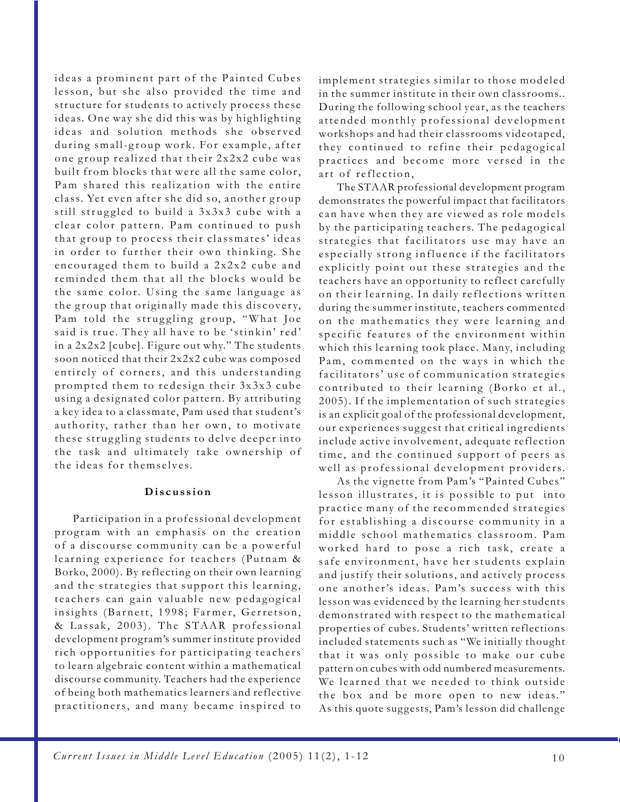ideas a prominent part of the Painted Cubes lesson, but she also provided the time and structure for students to actively process these ideas. One way she did this was by highlighting ideas and solution methods she observed during small-group work. For example, after one group realized that their 2x2x2 cube was built from blocks that were all the same color, Pam shared this realization with the entire class. Yet even after she did so, another group still struggled to build a 3x3x3 cube with a clear color pattern. Pam continued to push that group to process their classmates' ideas in order to further their own thinking. She encouraged them to build a 2x2x2 cube and reminded them that all the blocks would be the same color. Using the same language as the group that originally made this discovery, Pam told the struggling group, "What Joe said is true. They all have to be 'stinkin' red' in a 2x2x2 [cube]. Figure out why." The students soon noticed that their 2x2x2 cube was composed entirely of corners, and this understanding prompted them to redesign their 3x3x3 cube using a designated color pattern. By attributing a key idea to a classmate, Pam used that student's authority, rather than her own, to motivate these struggling students to delve deeper into the task and ultimately take ownership of the ideas for themselves.

#### **Discussion**

Participation in a professional development program with an emphasis on the creation of a discourse community can be a powerful learning experience for teachers (Putnam & Borko, 2000). By reflecting on their own learning and the strategies that support this learning, teachers can gain valuable new pedagogical insights (Barnett, 1998; Farmer, Gerretson, & Lassak, 2003). The STAAR professional development program's summer institute provided rich opportunities for participating teachers to learn algebraic content within a mathematical discourse community. Teachers had the experience of being both mathematics learners and reflective practitioners, and many became inspired to

implement strategies similar to those modeled in the summer institute in their own classrooms.. During the following school year, as the teachers attended monthly professional development workshops and had their classrooms videotaped, they continued to refine their pedagogical practices and become more versed in the art of reflection,

The STAAR professional development program demonstrates the powerful impact that facilitators can have when they are viewed as role models by the participating teachers. The pedagogical strategies that facilitators use may have an especially strong influence if the facilitators explicitly point out these strategies and the teachers have an opportunity to reflect carefully on their learning. In daily reflections written during the summer institute, teachers commented on the mathematics they were learning and specific features of the environment within which this learning took place. Many, including Pam, commented on the ways in which the facilitators' use of communication strategies contributed to their learning (Borko et al., 2005). If the implementation of such strategies is an explicit goal of the professional development, our experiences suggest that critical ingredients include active involvement, adequate reflection time, and the continued support of peers as well as professional development providers.

As the vignette from Pam's "Painted Cubes" lesson illustrates, it is possible to put into practice many of the recommended strategies for establishing a discourse community in a middle school mathematics classroom. Pam worked hard to pose a rich task, create a safe environment, have her students explain and justify their solutions, and actively process one another's ideas. Pam's success with this lesson was evidenced by the learning her students demonstrated with respect to the mathematical properties of cubes. Students' written reflections included statements such as "We initially thought that it was only possible to make our cube pattern on cubes with odd numbered measurements. We learned that we needed to think outside the box and be more open to new ideas." As this quote suggests, Pam's lesson did challenge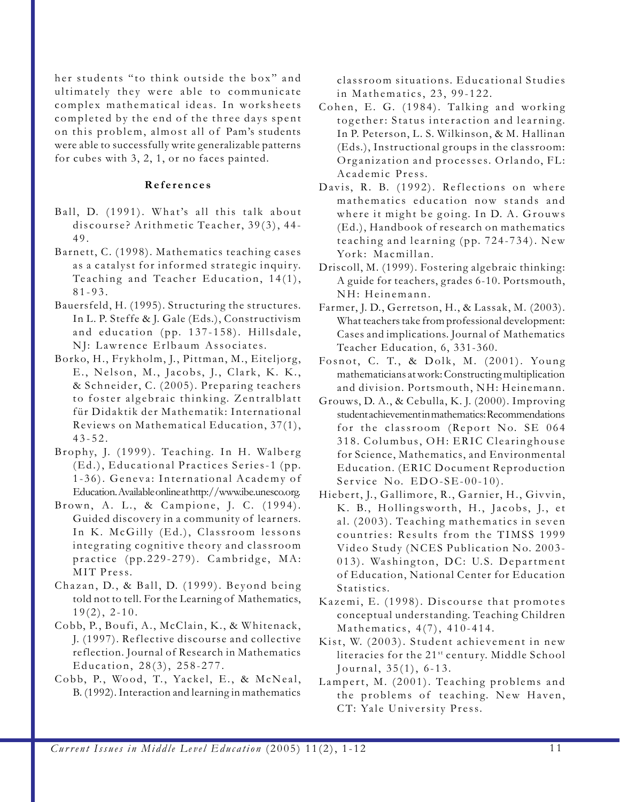her students "to think outside the box" and ultimately they were able to communicate complex mathematical ideas. In worksheets completed by the end of the three days spent on this problem, almost all of Pam's students were able to successfully write generalizable patterns for cubes with 3, 2, 1, or no faces painted.

#### **References**

- Ball, D. (1991). What's all this talk about discourse? Arithmetic Teacher, 39(3), 44- 49.
- Barnett, C. (1998). Mathematics teaching cases as a catalyst for informed strategic inquiry. Teaching and Teacher Education, 14(1), 81-93.
- Bauersfeld, H. (1995). Structuring the structures. In L. P. Steffe & J. Gale (Eds.), Constructivism and education (pp. 137-158). Hillsdale, NJ: Lawrence Erlbaum Associates.
- Borko, H., Frykholm, J., Pittman, M., Eiteljorg, E., Nelson, M., Jacobs, J., Clark, K. K., & Schneider, C. (2005). Preparing teachers to foster algebraic thinking. Zentralblatt für Didaktik der Mathematik: International Reviews on Mathematical Education, 37(1), 43-52.
- Brophy, J. (1999). Teaching. In H. Walberg (Ed.), Educational Practices Series-1 (pp. 1-36). Geneva: International Academy of Education. Available online at http://www.ibe.unesco.org.
- Brown, A. L., & Campione, J. C. (1994). Guided discovery in a community of learners. In K. McGilly (Ed.), Classroom lessons integrating cognitive theory and classroom practice (pp.229-279). Cambridge, MA: MIT Press.
- Chazan, D., & Ball, D. (1999). Beyond being told not to tell. For the Learning of Mathematics,  $19(2)$ , 2-10.
- Cobb, P., Boufi, A., McClain, K., & Whitenack, J. (1997). Reflective discourse and collective reflection. Journal of Research in Mathematics Education, 28(3), 258-277.
- Cobb, P., Wood, T., Yackel, E., & McNeal, B. (1992). Interaction and learning in mathematics

classroom situations. Educational Studies in Mathematics, 23, 99-122.

- Cohen, E. G. (1984). Talking and working together: Status interaction and learning. In P. Peterson, L. S. Wilkinson, & M. Hallinan (Eds.), Instructional groups in the classroom: Organization and processes. Orlando, FL: Academic Press.
- Davis, R. B. (1992). Reflections on where mathematics education now stands and where it might be going. In D. A. Grouws (Ed.), Handbook of research on mathematics teaching and learning (pp. 724-734). New York: Macmillan.
- Driscoll, M. (1999). Fostering algebraic thinking: A guide for teachers, grades 6-10. Portsmouth, NH: Heinemann.
- Farmer, J. D., Gerretson, H., & Lassak, M. (2003). What teachers take from professional development: Cases and implications. Journal of Mathematics Teacher Education, 6, 331-360.
- Fosnot, C. T., & Dolk, M. (2001). Young mathematicians at work: Constructing multiplication and division. Portsmouth, NH: Heinemann.
- Grouws, D. A., & Cebulla, K. J. (2000). Improving student achievement in mathematics: Recommendations for the classroom (Report No. SE 064 318. Columbus, OH: ERIC Clearinghouse for Science, Mathematics, and Environmental Education. (ERIC Document Reproduction Service No. EDO-SE-00-10).
- Hiebert, J., Gallimore, R., Garnier, H., Givvin, K. B., Hollingsworth, H., Jacobs, J., et al. (2003). Teaching mathematics in seven countries: Results from the TIMSS 1999 Video Study (NCES Publication No. 2003- 013). Washington, DC: U.S. Department of Education, National Center for Education Statistics.
- Kazemi, E. (1998). Discourse that promotes conceptual understanding. Teaching Children Mathematics, 4(7), 410-414.
- Kist, W. (2003). Student achievement in new literacies for the 21<sup>st</sup> century. Middle School Journal, 35(1), 6-13.
- Lampert, M. (2001). Teaching problems and the problems of teaching. New Haven, CT: Yale University Press.

*Current Issues in Middle Level Education* (2005) 11(2), 1-12 11